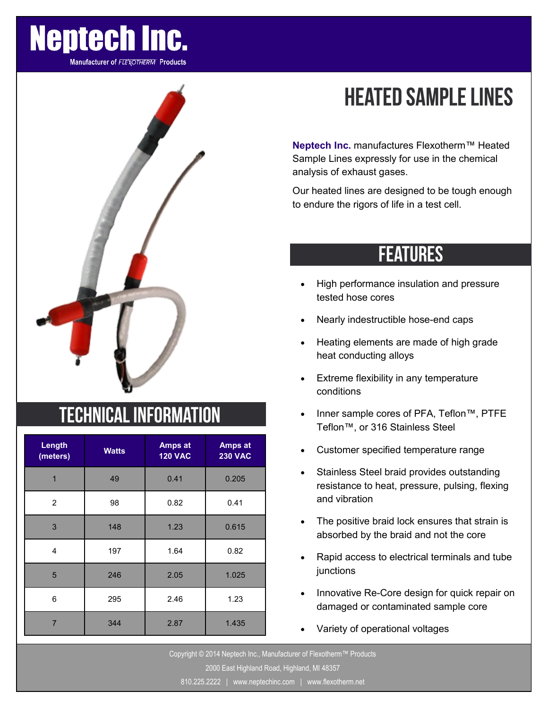

**Manufacturer of FLEXOTHERM Products** 



### **TECHNICAL INFORMATION**

| Length<br>(meters) | <b>Watts</b> | <b>Amps at</b><br><b>120 VAC</b> | Amps at<br><b>230 VAC</b> |  |
|--------------------|--------------|----------------------------------|---------------------------|--|
| $\overline{1}$     | 49           | 0.41                             | 0.205                     |  |
| 2                  | 98           | 0.82                             | 0.41                      |  |
| 3                  | 148          | 1.23                             | 0.615                     |  |
| 4                  | 197          | 1.64                             | 0.82                      |  |
| 5                  | 246          | 2.05                             | 1.025                     |  |
| 6                  | 295          | 2.46                             | 1.23                      |  |
| $\overline{7}$     | 344          | 2.87                             | 1.435                     |  |

# **HEATED SAMPLE LINES**

**Neptech Inc.** manufactures Flexotherm™ Heated Sample Lines expressly for use in the chemical analysis of exhaust gases.

Our heated lines are designed to be tough enough to endure the rigors of life in a test cell.

### **FEATURES**

- High performance insulation and pressure tested hose cores
- Nearly indestructible hose-end caps
- Heating elements are made of high grade heat conducting alloys
- Extreme flexibility in any temperature conditions
- Inner sample cores of PFA, Teflon™, PTFE Teflon™, or 316 Stainless Steel
- Customer specified temperature range
- Stainless Steel braid provides outstanding resistance to heat, pressure, pulsing, flexing and vibration
- The positive braid lock ensures that strain is absorbed by the braid and not the core
- Rapid access to electrical terminals and tube junctions
- Innovative Re-Core design for quick repair on damaged or contaminated sample core
- Variety of operational voltages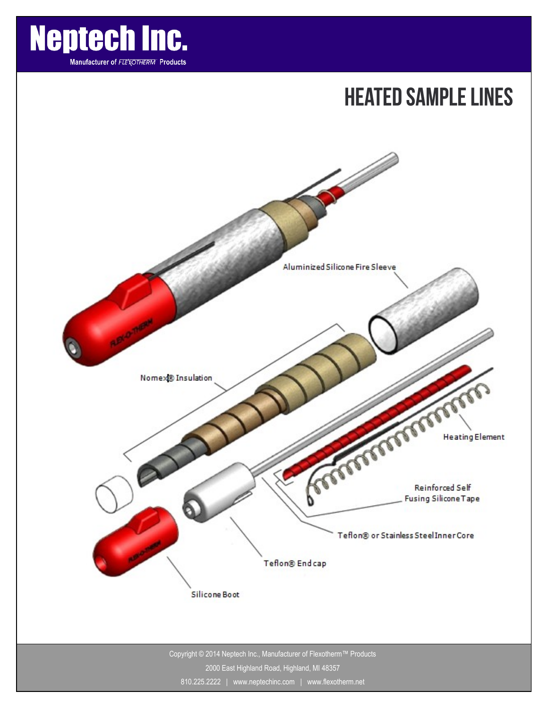

### **HEATED SAMPLE LINES**



810.225.2222 | www.neptechinc.com | www.flexotherm.net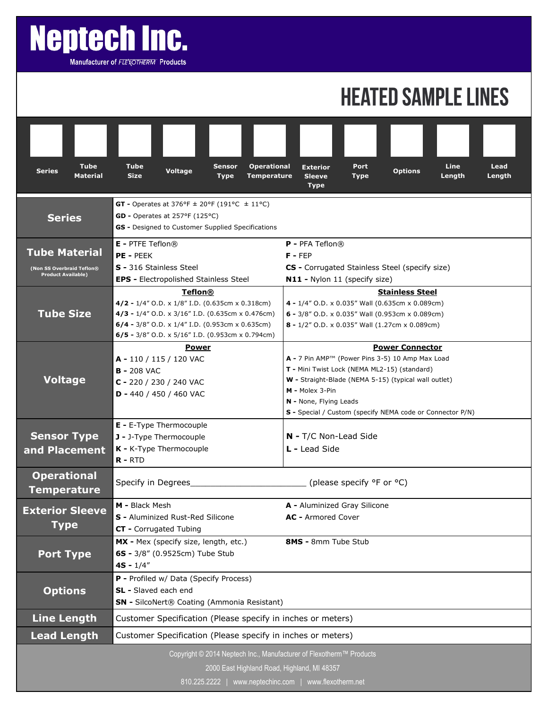# **Neptech Inc.**

Manufacturer of FLEXOTHERM Products

## **HEATED SAMPLE LINES**

| <b>Tube</b><br><b>Series</b><br><b>Material</b>                                                                    | Tube<br><b>Sensor</b><br><b>Voltage</b><br><b>Size</b><br><b>Type</b>                                                                                                                                                              | <b>Operational</b><br><b>Temperature</b> | <b>Exterior</b><br><b>Sleeve</b><br>Type                                                                                                                                                                                                                                                    | Port<br><b>Type</b> | <b>Options</b> | <b>Line</b><br>Length | Lead<br>Length |  |
|--------------------------------------------------------------------------------------------------------------------|------------------------------------------------------------------------------------------------------------------------------------------------------------------------------------------------------------------------------------|------------------------------------------|---------------------------------------------------------------------------------------------------------------------------------------------------------------------------------------------------------------------------------------------------------------------------------------------|---------------------|----------------|-----------------------|----------------|--|
| <b>Series</b>                                                                                                      | <b>GT</b> - Operates at 376°F $\pm$ 20°F (191°C $\pm$ 11°C)<br>GD - Operates at 257°F (125°C)<br>GS - Designed to Customer Supplied Specifications                                                                                 |                                          |                                                                                                                                                                                                                                                                                             |                     |                |                       |                |  |
| <b>Tube Material</b><br>(Non SS Overbraid Teflon®<br><b>Product Available)</b>                                     | $E$ - PTFE Teflon $@$<br>PE - PEEK<br>S - 316 Stainless Steel<br><b>EPS - Electropolished Stainless Steel</b>                                                                                                                      |                                          | <b>P</b> - PFA Teflon $\circledR$<br>$F - FEP$<br>CS - Corrugated Stainless Steel (specify size)<br>N11 - Nylon 11 (specify size)                                                                                                                                                           |                     |                |                       |                |  |
| <b>Tube Size</b>                                                                                                   | <b>Teflon®</b><br>4/2 - 1/4" O.D. x 1/8" I.D. (0.635cm x 0.318cm)<br>4/3 - 1/4" O.D. x 3/16" I.D. (0.635cm x 0.476cm)<br>6/4 - 3/8" O.D. x $1/4$ " I.D. (0.953cm x 0.635cm)<br>6/5 - $3/8$ " O.D. x 5/16" I.D. (0.953cm x 0.794cm) |                                          | <b>Stainless Steel</b><br>4 - 1/4" O.D. x 0.035" Wall (0.635cm x 0.089cm)<br>6 - 3/8" O.D. x 0.035" Wall (0.953cm x 0.089cm)<br>8 - 1/2" O.D. x 0.035" Wall (1.27cm x 0.089cm)                                                                                                              |                     |                |                       |                |  |
| <b>Voltage</b>                                                                                                     | <b>Power</b><br>A - 110 / 115 / 120 VAC<br><b>B-208 VAC</b><br>C - 220 / 230 / 240 VAC<br>$D - 440 / 450 / 460$ VAC                                                                                                                |                                          | <b>Power Connector</b><br>A - 7 Pin AMP™ (Power Pins 3-5) 10 Amp Max Load<br>T - Mini Twist Lock (NEMA ML2-15) (standard)<br>W - Straight-Blade (NEMA 5-15) (typical wall outlet)<br>M - Molex 3-Pin<br>N - None, Flying Leads<br>S - Special / Custom (specify NEMA code or Connector P/N) |                     |                |                       |                |  |
| <b>Sensor Type</b><br>and Placement                                                                                | E - E-Type Thermocouple<br>N - T/C Non-Lead Side<br>J - J-Type Thermocouple<br>K - K-Type Thermocouple<br>L - Lead Side<br>$R - RTD$                                                                                               |                                          |                                                                                                                                                                                                                                                                                             |                     |                |                       |                |  |
| <b>Operational</b><br><b>Temperature</b>                                                                           | (please specify °F or °C)<br>Specify in Degrees                                                                                                                                                                                    |                                          |                                                                                                                                                                                                                                                                                             |                     |                |                       |                |  |
| <b>Exterior Sleeve</b><br><b>Type</b>                                                                              | M - Black Mesh<br>S - Aluminized Rust-Red Silicone<br>CT - Corrugated Tubing                                                                                                                                                       |                                          | A - Aluminized Gray Silicone<br>AC - Armored Cover                                                                                                                                                                                                                                          |                     |                |                       |                |  |
| <b>Port Type</b>                                                                                                   | MX - Mex (specify size, length, etc.)<br>8MS - 8mm Tube Stub<br>6S - 3/8" (0.9525cm) Tube Stub<br>$4S - 1/4"$                                                                                                                      |                                          |                                                                                                                                                                                                                                                                                             |                     |                |                       |                |  |
| <b>Options</b>                                                                                                     | P - Profiled w/ Data (Specify Process)<br>SL - Slaved each end<br>SN - SilcoNert® Coating (Ammonia Resistant)                                                                                                                      |                                          |                                                                                                                                                                                                                                                                                             |                     |                |                       |                |  |
| <b>Line Length</b>                                                                                                 | Customer Specification (Please specify in inches or meters)                                                                                                                                                                        |                                          |                                                                                                                                                                                                                                                                                             |                     |                |                       |                |  |
| <b>Lead Length</b>                                                                                                 | Customer Specification (Please specify in inches or meters)                                                                                                                                                                        |                                          |                                                                                                                                                                                                                                                                                             |                     |                |                       |                |  |
| Copyright © 2014 Neptech Inc., Manufacturer of Flexotherm™ Products<br>2000 East Highland Road, Highland, MI 48357 |                                                                                                                                                                                                                                    |                                          |                                                                                                                                                                                                                                                                                             |                     |                |                       |                |  |

810.225.2222 | www.neptechinc.com | www.flexotherm.net